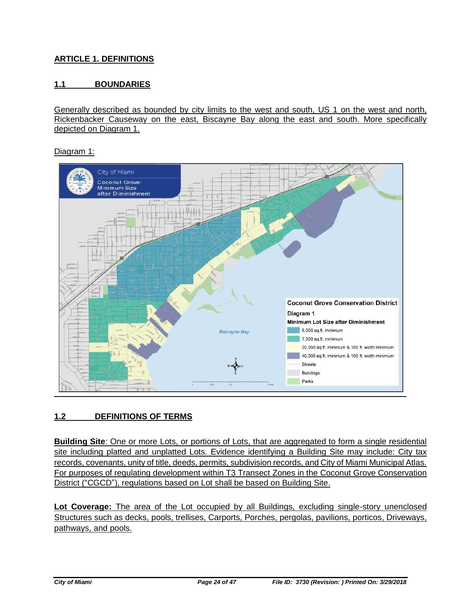## **ARTICLE 1. DEFINITIONS**

### **1.1 BOUNDARIES**

Generally described as bounded by city limits to the west and south, US 1 on the west and north, Rickenbacker Causeway on the east, Biscayne Bay along the east and south. More specifically depicted on Diagram 1.

Diagram 1:



### **1.2 DEFINITIONS OF TERMS**

**Building Site**: One or more Lots, or portions of Lots, that are aggregated to form a single residential site including platted and unplatted Lots. Evidence identifying a Building Site may include: City tax records, covenants, unity of title, deeds, permits, subdivision records, and City of Miami Municipal Atlas. For purposes of regulating development within T3 Transect Zones in the Coconut Grove Conservation District ("CGCD"), regulations based on Lot shall be based on Building Site.

**Lot Coverage:** The area of the Lot occupied by all Buildings, excluding single-story unenclosed Structures such as decks, pools, trellises, Carports, Porches, pergolas, pavilions, porticos, Driveways, pathways, and pools.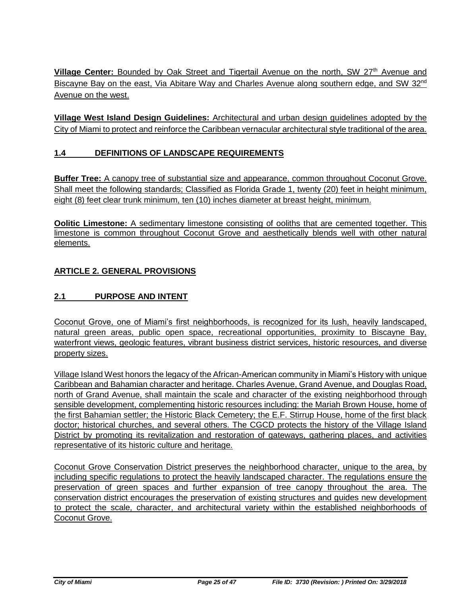**Village Center:** Bounded by Oak Street and Tigertail Avenue on the north, SW 27<sup>th</sup> Avenue and Biscayne Bay on the east, Via Abitare Way and Charles Avenue along southern edge, and SW 32<sup>nd</sup> Avenue on the west.

**Village West Island Design Guidelines:** Architectural and urban design guidelines adopted by the City of Miami to protect and reinforce the Caribbean vernacular architectural style traditional of the area.

## **1.4 DEFINITIONS OF LANDSCAPE REQUIREMENTS**

**Buffer Tree:** A canopy tree of substantial size and appearance, common throughout Coconut Grove. Shall meet the following standards; Classified as Florida Grade 1, twenty (20) feet in height minimum, eight (8) feet clear trunk minimum, ten (10) inches diameter at breast height, minimum.

**Oolitic Limestone:** A sedimentary limestone consisting of ooliths that are cemented together. This limestone is common throughout Coconut Grove and aesthetically blends well with other natural elements.

### **ARTICLE 2. GENERAL PROVISIONS**

### **2.1 PURPOSE AND INTENT**

Coconut Grove, one of Miami's first neighborhoods, is recognized for its lush, heavily landscaped, natural green areas, public open space, recreational opportunities, proximity to Biscayne Bay, waterfront views, geologic features, vibrant business district services, historic resources, and diverse property sizes.

Village Island West honors the legacy of the African-American community in Miami's History with unique Caribbean and Bahamian character and heritage. Charles Avenue, Grand Avenue, and Douglas Road, north of Grand Avenue, shall maintain the scale and character of the existing neighborhood through sensible development, complementing historic resources including: the Mariah Brown House, home of the first Bahamian settler; the Historic Black Cemetery; the E.F. Stirrup House, home of the first black doctor; historical churches, and several others. The CGCD protects the history of the Village Island District by promoting its revitalization and restoration of gateways, gathering places, and activities representative of its historic culture and heritage.

Coconut Grove Conservation District preserves the neighborhood character, unique to the area, by including specific regulations to protect the heavily landscaped character. The regulations ensure the preservation of green spaces and further expansion of tree canopy throughout the area. The conservation district encourages the preservation of existing structures and guides new development to protect the scale, character, and architectural variety within the established neighborhoods of Coconut Grove.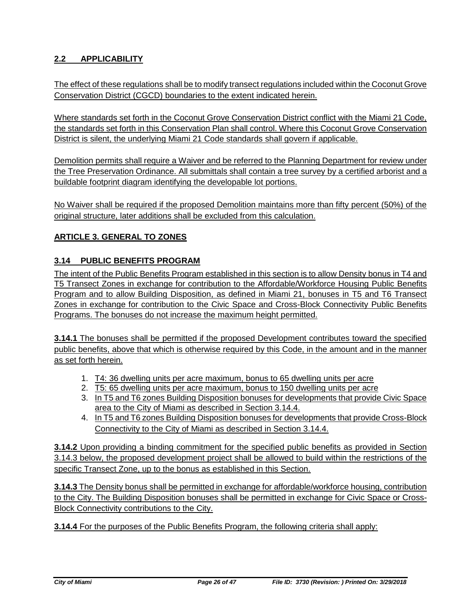# **2.2 APPLICABILITY**

The effect of these regulations shall be to modify transect regulations included within the Coconut Grove Conservation District (CGCD) boundaries to the extent indicated herein.

Where standards set forth in the Coconut Grove Conservation District conflict with the Miami 21 Code, the standards set forth in this Conservation Plan shall control. Where this Coconut Grove Conservation District is silent, the underlying Miami 21 Code standards shall govern if applicable.

Demolition permits shall require a Waiver and be referred to the Planning Department for review under the Tree Preservation Ordinance. All submittals shall contain a tree survey by a certified arborist and a buildable footprint diagram identifying the developable lot portions.

No Waiver shall be required if the proposed Demolition maintains more than fifty percent (50%) of the original structure, later additions shall be excluded from this calculation.

### **ARTICLE 3. GENERAL TO ZONES**

### **3.14 PUBLIC BENEFITS PROGRAM**

The intent of the Public Benefits Program established in this section is to allow Density bonus in T4 and T5 Transect Zones in exchange for contribution to the Affordable/Workforce Housing Public Benefits Program and to allow Building Disposition, as defined in Miami 21, bonuses in T5 and T6 Transect Zones in exchange for contribution to the Civic Space and Cross-Block Connectivity Public Benefits Programs. The bonuses do not increase the maximum height permitted.

**3.14.1** The bonuses shall be permitted if the proposed Development contributes toward the specified public benefits, above that which is otherwise required by this Code, in the amount and in the manner as set forth herein.

- 1. T4: 36 dwelling units per acre maximum, bonus to 65 dwelling units per acre
- 2. T5: 65 dwelling units per acre maximum, bonus to 150 dwelling units per acre
- 3. In T5 and T6 zones Building Disposition bonuses for developments that provide Civic Space area to the City of Miami as described in Section 3.14.4.
- 4. In T5 and T6 zones Building Disposition bonuses for developments that provide Cross-Block Connectivity to the City of Miami as described in Section 3.14.4.

**3.14.2** Upon providing a binding commitment for the specified public benefits as provided in Section 3.14.3 below, the proposed development project shall be allowed to build within the restrictions of the specific Transect Zone, up to the bonus as established in this Section.

**3.14.3** The Density bonus shall be permitted in exchange for affordable/workforce housing, contribution to the City. The Building Disposition bonuses shall be permitted in exchange for Civic Space or Cross-Block Connectivity contributions to the City.

**3.14.4** For the purposes of the Public Benefits Program, the following criteria shall apply: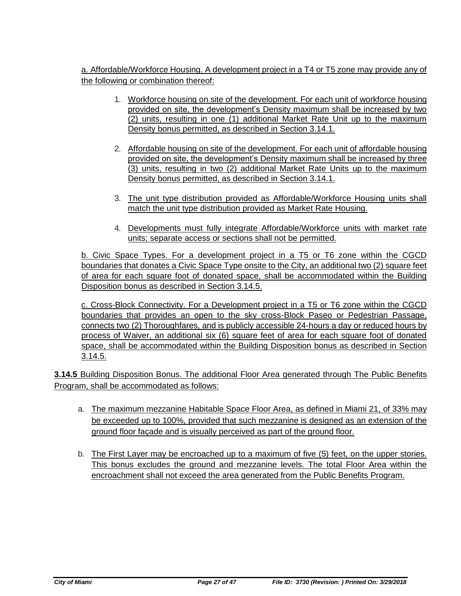a. Affordable/Workforce Housing. A development project in a T4 or T5 zone may provide any of the following or combination thereof:

- 1. Workforce housing on site of the development. For each unit of workforce housing provided on site, the development's Density maximum shall be increased by two (2) units, resulting in one (1) additional Market Rate Unit up to the maximum Density bonus permitted, as described in Section 3.14.1.
- 2. Affordable housing on site of the development. For each unit of affordable housing provided on site, the development's Density maximum shall be increased by three (3) units, resulting in two (2) additional Market Rate Units up to the maximum Density bonus permitted, as described in Section 3.14.1.
- 3. The unit type distribution provided as Affordable/Workforce Housing units shall match the unit type distribution provided as Market Rate Housing.
- 4. Developments must fully integrate Affordable/Workforce units with market rate units; separate access or sections shall not be permitted.

b. Civic Space Types. For a development project in a T5 or T6 zone within the CGCD boundaries that donates a Civic Space Type onsite to the City, an additional two (2) square feet of area for each square foot of donated space, shall be accommodated within the Building Disposition bonus as described in Section 3.14.5.

c. Cross-Block Connectivity. For a Development project in a T5 or T6 zone within the CGCD boundaries that provides an open to the sky cross-Block Paseo or Pedestrian Passage, connects two (2) Thoroughfares, and is publicly accessible 24-hours a day or reduced hours by process of Waiver, an additional six (6) square feet of area for each square foot of donated space, shall be accommodated within the Building Disposition bonus as described in Section 3.14.5.

**3.14.5** Building Disposition Bonus. The additional Floor Area generated through The Public Benefits Program, shall be accommodated as follows:

- a. The maximum mezzanine Habitable Space Floor Area, as defined in Miami 21, of 33% may be exceeded up to 100%, provided that such mezzanine is designed as an extension of the ground floor façade and is visually perceived as part of the ground floor.
- b. The First Layer may be encroached up to a maximum of five (5) feet, on the upper stories. This bonus excludes the ground and mezzanine levels. The total Floor Area within the encroachment shall not exceed the area generated from the Public Benefits Program.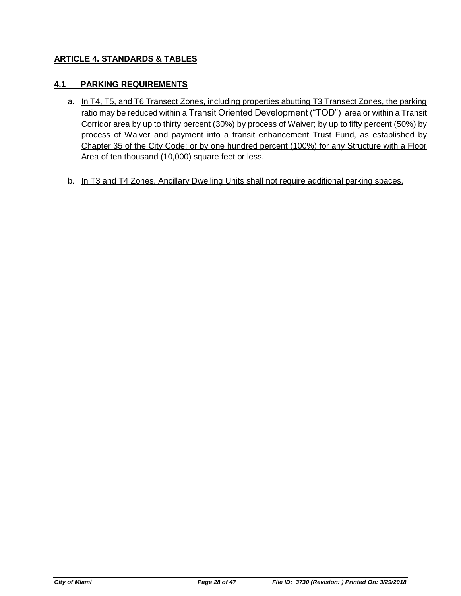### **ARTICLE 4. STANDARDS & TABLES**

### **4.1 PARKING REQUIREMENTS**

- a. In T4, T5, and T6 Transect Zones, including properties abutting T3 Transect Zones, the parking ratio may be reduced within a Transit Oriented Development ("TOD") area or within a Transit Corridor area by up to thirty percent (30%) by process of Waiver; by up to fifty percent (50%) by process of Waiver and payment into a transit enhancement Trust Fund, as established by Chapter 35 of the City Code; or by one hundred percent (100%) for any Structure with a Floor Area of ten thousand (10,000) square feet or less.
- b. In T3 and T4 Zones, Ancillary Dwelling Units shall not require additional parking spaces.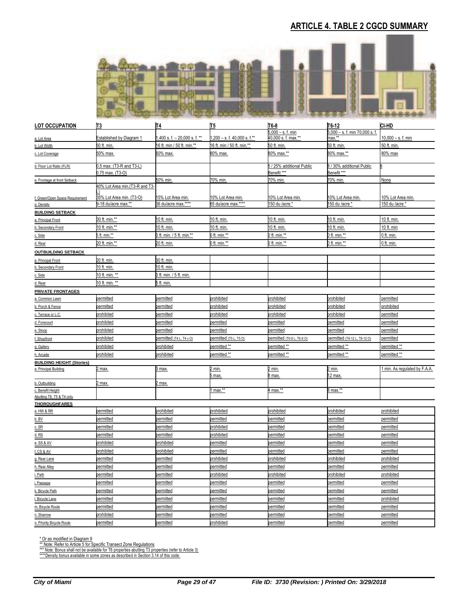# **ARTICLE 4. TABLE 2 CGCD SUMMARY**



| <b>LOT OCCUPATION</b>                          | T3                                           | $\underline{\mathsf{I}}$      | <b>II5</b>                   | T6-8                                                | $T6-12$                                     | CI-HD                       |
|------------------------------------------------|----------------------------------------------|-------------------------------|------------------------------|-----------------------------------------------------|---------------------------------------------|-----------------------------|
| a. Lot Area                                    | Established by Diagram 1                     | ,400 s. f. $-20,000$ s. f. ** | 1,200 - s. f. 40,000 s. f.** | $6,000 - s$ . f. min<br>$10,000$ s. f. max.**       | $5,000 - s$ . f. min 70,000 s. f.<br>nax.** | $10,000 - s.$ f. min        |
| b. Lot Width                                   | 50 ft. min.                                  | 16 ft. min / 50 ft. min.**    | 16 ft. min / 50 ft. min.**   | 50 ft. min.                                         | 50 ft. min.                                 | 50 ft. min.                 |
| c. Lot Coverage                                | 50% max.                                     | 60% max.                      | 80% max.                     | 80% max.**                                          | 80% max.**                                  | 80% max                     |
| d. Floor Lot Ratio (FLR)                       | 0.5 max. (T3-R and T3-L)<br>0.75 max. (T3-O) |                               |                              | 5 / 25% additional Public<br>Benefit <sup>***</sup> | 8 / 30% additional Public<br>Benefit***     |                             |
| e. Frontage at front Setback                   |                                              | 50% min.                      | 70% min                      | 70% min                                             | 70% min.                                    | None                        |
|                                                | 40% Lot Area min. (T3-R and T3-              |                               |                              |                                                     |                                             |                             |
| f. Green/Open Space Requirement                | 35% Lot Area min. (T3-O)                     | <u>15% Lot Area min.</u>      | <u>10% Lot Area min.</u>     | 10% Lot Area min.                                   | 10% Lot Area min.                           | 10% Lot Area min.           |
| g. Density                                     | 9-18 du/acre max.**                          | 36 du/acre max.****           | 55 du/acre max.****          | 150 du /acre *                                      | 150 du /acre *                              | 150 du /acre *              |
| <b>BUILDING SETBACK</b>                        |                                              |                               |                              |                                                     |                                             |                             |
| a. Principal Front                             | 30 ft. min.**                                | 10 ft. min.                   | 10 ft. min.                  | 10 ft. min                                          | 10 ft. min.                                 | 10 ft. min.                 |
| b. Secondary Front                             | 10 ft. min.**                                | <u>10 ft. min.</u>            | 10 ft. min.                  | <u>10 ft. min.</u>                                  | 0 ft. min.                                  | 10 ft. min                  |
| c. Side                                        | 5 ft. min.**                                 | 0 ft. min. / 5 ft. min.**     | ft. min.**                   | ) ft. min.**                                        | ft. min.**                                  | 0 ft. min.                  |
| d. Rear                                        | <u>20 ft. min.**</u>                         | 20 ft. min.                   | <u>ft. min.**</u>            | <u>) ft. min.**</u>                                 | ) ft. min.**                                | <u>0 ft. min.</u>           |
| <b>OUTBUILDING SETBACK</b>                     |                                              |                               |                              |                                                     |                                             |                             |
| a. Principal Front                             | 20 ft. min.                                  | 30 ft. min.                   |                              |                                                     |                                             |                             |
| b. Secondary Front                             | 10 ft. min.                                  | 10 ft. min.                   |                              |                                                     |                                             |                             |
| c. Side                                        | 10 ft. min. **                               | 0 ft. min. / 5 ft. min.       |                              |                                                     |                                             |                             |
| d. Rear                                        | <u>10 ft. min. **</u>                        | <u>5 ft. min.</u>             |                              |                                                     |                                             |                             |
| <b>PRIVATE FRONTAGES</b>                       |                                              |                               |                              |                                                     |                                             |                             |
| <u>a. Common Lawn</u>                          | oermitted                                    | permitted                     | orohibited                   | prohibited                                          | prohibited                                  | permitted                   |
| b. Porch & Fence                               | <u>permitted</u>                             | <u>permitted</u>              | <i>rohibited</i>             | prohibited                                          | orohibited                                  | prohibited                  |
| c. Terrace or L.C.                             | <b>prohibited</b>                            | permitted                     | <b>prohibited</b>            | prohibited                                          | <b>prohibited</b>                           | permitted                   |
| d. Forecourt                                   | orohibited                                   | permitted                     | bermitted                    | permitted                                           | permitted                                   | permitted                   |
| e. Stoop                                       | prohibited                                   | permitted                     | permitted                    | permitted                                           | permitted                                   | permitted                   |
| f. Shopfront                                   | orohibited                                   | permitted (T4 L, T4 v O)      | ermitted (T5L, T5O)          | permitted (T6-8 L, T6-8 O)                          | permitted (T6-12 L, T6-12 O)                | permitted                   |
| g. Gallery                                     | prohibited                                   | prohibited                    | bermitted **                 | permitted **                                        | permitted **                                | permitted **                |
| h. Arcade                                      | prohibited                                   | prohibited                    | bermitted **                 | permitted **                                        | permitted **                                | permitted **                |
| <b>BUILDING HEIGHT (Stories)</b>               |                                              |                               |                              |                                                     |                                             |                             |
| a. Principal Building                          | 2 max.                                       | 3 max.                        | <u>! min.</u><br>max.        | <u>2 min.</u><br>B max                              | <u>2 min.</u><br>2 max.                     | min. As regulated by F.A.A. |
| b. Outbuilding                                 | <u>2 max.</u>                                | max.                          |                              |                                                     |                                             |                             |
| c. Benefit Height<br>Abutting T6, T5 & T4 only |                                              |                               | $max.*$                      | 4 max.**                                            | 8 max.**                                    |                             |
| <b>THOROUGHFARES</b>                           |                                              |                               |                              |                                                     |                                             |                             |
| a. HW & RR                                     | permitted                                    | prohibited                    | <b>prohibited</b>            | prohibited                                          | prohibited                                  | prohibited                  |
| $b.$ BV                                        | permitted                                    | permitted                     | bermitted                    | permitted                                           | permitted                                   | permitted                   |
| c. SR                                          | <u>permitted</u>                             | permitted                     | <b>prohibited</b>            | <u>permitted</u>                                    | <u>permitted</u>                            | permitted                   |
| $d$ . RS                                       | permitted                                    | permitted                     | orohibited                   | permitted                                           | permitted                                   | permitted                   |
| e. SS & AV                                     | prohibited                                   | prohibited                    | permitted                    | permitted                                           | permitted                                   | permitted                   |
| f. CS & AV                                     | orohibited                                   | prohibited                    | bermitted                    | permitted                                           | permitted                                   | permitted                   |
| g. Rear Lane                                   | <b>permitted</b>                             | permitted                     | prohibited                   | prohibited                                          | prohibited                                  | prohibited                  |
| h. Rear Alley                                  | permitted                                    | bermitted                     | bermitted                    | permitted                                           | permitted                                   | permitted                   |
| i. Path                                        | permitted                                    | permitted                     | prohibited                   | prohibited                                          | orohibited                                  | prohibited                  |
| j. Passage                                     | permitted                                    | permitted                     | permitted                    | permitted                                           | permitted                                   | permitted                   |
| k. Bicycle Path                                | permitted                                    | permitted                     | permitted                    | permitted                                           | permitted                                   | permitted                   |
| I. Bicycle Lane                                | permitted                                    | permitted                     | permitted                    | permitted                                           | permitted                                   | prohibited                  |
| m. Bicycle Route                               | permitted                                    | permitted                     | permitted                    | permitted                                           | permitted                                   | permitted                   |
| n. Sharrow                                     | prohibited                                   | permitted                     | permitted                    | permitted                                           | permitted                                   | permitted                   |
| o. Priority Bicycle Route                      | permitted                                    | permitted                     | prohibited                   | permitted                                           | permitted                                   | permitted                   |

\* Or as modified in Diagram 9<br>\*\* Note: Refer to Article 5 for Specific Transect Zone Regulations<br>\*\*\* Note: Bonus shall not be available for T6 properties abutting T3 properties (refer to Article 3)<br>\*\*\*\*Density bonus availa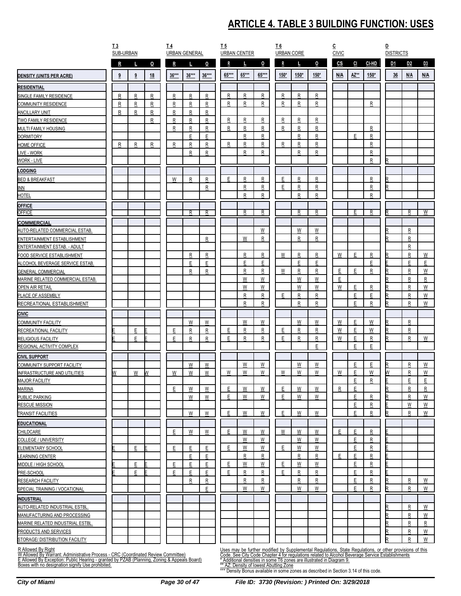# **ARTICLE 4. TABLE 3 BUILDING FUNCTION: USES**

|                                                                                   | I <sub>3</sub><br>SUB-URBAN |   |              | $\underline{I4}$ | <b>URBAN GENERAL</b>    |                         | <u>T5</u>    | <b>URBAN CENTER</b>     |                          | <u>T6</u> | <b>URBAN CORE</b> |                         | $\overline{c}$<br><b>CIVIC</b> |                                                                                                                                                                                                           |           | ₽<br><b>DISTRICTS</b> |                         |                |
|-----------------------------------------------------------------------------------|-----------------------------|---|--------------|------------------|-------------------------|-------------------------|--------------|-------------------------|--------------------------|-----------|-------------------|-------------------------|--------------------------------|-----------------------------------------------------------------------------------------------------------------------------------------------------------------------------------------------------------|-----------|-----------------------|-------------------------|----------------|
|                                                                                   | R                           |   | $\mathbf{o}$ | R                |                         | 0                       | $\mathsf{R}$ |                         | $\overline{0}$           | R         |                   | 0                       | $\mathbf{c}\mathbf{s}$         | CI<br>CI-HD                                                                                                                                                                                               |           | D <sub>1</sub>        | D <sub>2</sub>          | D <sub>3</sub> |
| <b>DENSITY (UNITS PER ACRE)</b>                                                   | $\overline{\mathbf{3}}$     | 9 | 18           | $36***$          | $36***$                 | $36***$                 | 65***        | $65***$                 | 65***                    | $150*$    | $150*$            | $150*$                  | N/A                            | AZ**                                                                                                                                                                                                      | $150*$    | 36                    | N/A                     | N/A            |
| <b>RESIDENTIAL</b>                                                                |                             |   |              |                  |                         |                         |              |                         |                          |           |                   |                         |                                |                                                                                                                                                                                                           |           |                       |                         |                |
| SINGLE FAMILY RESIDENCE                                                           | R                           | R | R            | $\mathbf R$      | R                       | $\mathsf{R}$            | R            | R                       | ${\sf R}$                | R         | R                 | R                       |                                |                                                                                                                                                                                                           |           |                       |                         |                |
| <b>COMMUNITY RESIDENCE</b>                                                        | R                           | R | $\mathsf{R}$ | $\mathsf{R}$     | R                       | $\mathsf{R}$            | R            | R                       | ${\sf R}$                | R         | R                 | R                       |                                |                                                                                                                                                                                                           | R         |                       |                         |                |
| <b>ANCILLARY UNIT</b>                                                             | R                           | R | R            | $\mathsf{R}$     | R                       | R                       |              |                         |                          |           |                   |                         |                                |                                                                                                                                                                                                           |           |                       |                         |                |
| TWO FAMILY RESIDENCE                                                              |                             |   | ${\sf R}$    | R                | R                       | R                       | $\mathsf R$  | R                       | $\mathbf{R}$             | R         | R                 | $\overline{\mathsf{R}}$ |                                |                                                                                                                                                                                                           |           |                       |                         |                |
| MULTI FAMILY HOUSING                                                              |                             |   |              | $\overline{R}$   | $\overline{\mathsf{R}}$ | $\overline{\mathsf{R}}$ | R            | R                       | $\mathsf{R}$             | R         | R                 | R                       |                                | R                                                                                                                                                                                                         |           |                       |                         |                |
| <b>DORMITORY</b>                                                                  |                             |   |              |                  | E                       | E                       |              | R                       | R                        |           | R                 | R                       |                                | E<br>R                                                                                                                                                                                                    |           |                       |                         |                |
| <b>HOME OFFICE</b>                                                                | $\mathsf{R}$                | R | R            | R                | R                       | R                       | R            | R                       | ${\sf R}$                | R         | R                 | R                       |                                |                                                                                                                                                                                                           | R         |                       |                         |                |
| LIVE - WORK                                                                       |                             |   |              |                  | R                       | R                       |              | R                       | $\mathbf{R}$             |           | R                 | R                       |                                | $\overline{\mathsf{R}}$                                                                                                                                                                                   |           |                       |                         |                |
| WORK - LIVE                                                                       |                             |   |              |                  |                         |                         |              |                         |                          |           |                   |                         |                                | $\overline{R}$                                                                                                                                                                                            |           |                       |                         |                |
| <b>LODGING</b>                                                                    |                             |   |              |                  |                         |                         |              |                         |                          |           |                   |                         |                                |                                                                                                                                                                                                           |           |                       |                         |                |
| <b>BED &amp; BREAKFAST</b>                                                        |                             |   |              | W                | $\overline{\mathsf{R}}$ | R                       | E            | R                       | R                        | E         | R                 | R                       |                                | R                                                                                                                                                                                                         |           |                       |                         |                |
| <b>INN</b>                                                                        |                             |   |              |                  |                         | $\mathsf{R}$            |              | R                       | R                        | E         | R                 | R                       |                                | R                                                                                                                                                                                                         |           |                       |                         |                |
| <b>HOTEL</b>                                                                      |                             |   |              |                  |                         |                         |              | R                       | ${\sf R}$                |           | R                 | R                       |                                | R                                                                                                                                                                                                         |           |                       |                         |                |
| <b>OFFICE</b>                                                                     |                             |   |              |                  |                         |                         |              |                         |                          |           |                   |                         |                                |                                                                                                                                                                                                           |           |                       |                         |                |
| <b>OFFICE</b>                                                                     |                             |   |              |                  | R                       | R                       |              | R                       | R                        |           | $\overline{R}$    | R                       |                                | R<br>Ε                                                                                                                                                                                                    |           |                       | R                       | W              |
| <b>COMMERCIAL</b>                                                                 |                             |   |              |                  |                         |                         |              |                         |                          |           |                   |                         |                                |                                                                                                                                                                                                           |           |                       |                         |                |
| AUTO-RELATED COMMERCIAL ESTAB.                                                    |                             |   |              |                  |                         |                         |              |                         | W                        |           | W                 | W                       |                                |                                                                                                                                                                                                           |           |                       | R                       |                |
| ENTERTAINMENT ESTABLISHMENT                                                       |                             |   |              |                  |                         | ${\sf R}$               |              | W                       | R                        |           | R                 | R                       |                                |                                                                                                                                                                                                           |           |                       | R                       |                |
| ENTERTAINMENT ESTAB. - ADULT                                                      |                             |   |              |                  |                         |                         |              |                         |                          |           |                   |                         |                                |                                                                                                                                                                                                           |           |                       | ${\sf R}$               |                |
| FOOD SERVICE ESTABLISHMENT                                                        |                             |   |              |                  | $\overline{\mathsf{R}}$ | $\mathbf R$             |              | $\mathbf R$             | $\overline{R}$           | W         | $\mathbf R$       | $\overline{R}$          | W                              | E<br>$\overline{\mathsf{R}}$                                                                                                                                                                              |           |                       | ${\sf R}$               | W              |
| ALCOHOL BEVERAGE SERVICE ESTAB.                                                   |                             |   |              |                  | E                       | Ε                       |              | E                       | E                        |           | E                 | E                       |                                | E                                                                                                                                                                                                         |           |                       | Ε                       | E              |
| <b>GENERAL COMMERCIAL</b>                                                         |                             |   |              |                  | R                       | R                       |              | R                       | ${\sf R}$                | W         | R                 | R                       | Ε                              | E<br>R                                                                                                                                                                                                    |           |                       | R                       | W              |
| MARINE RELATED COMMERCIAL ESTAB.                                                  |                             |   |              |                  |                         |                         |              | W                       | W                        |           | W                 | W                       | E                              |                                                                                                                                                                                                           |           |                       | R                       | R              |
| <b>OPEN AIR RETAIL</b>                                                            |                             |   |              |                  |                         |                         |              | W                       | ${\sf W}$                |           | W                 | W                       | W                              | Ε<br>$\overline{R}$                                                                                                                                                                                       |           |                       | ${\sf R}$               | W              |
| PLACE OF ASSEMBLY                                                                 |                             |   |              |                  |                         |                         |              | R                       | ${\sf R}$                | E         | $\overline{R}$    | R                       |                                | E<br>E                                                                                                                                                                                                    |           |                       | ${\sf R}$               | W              |
| RECREATIONAL ESTABLISHMENT                                                        |                             |   |              |                  |                         |                         |              | R                       | ${\sf R}$                |           | $\mathsf{R}$      | $\mathsf{R}$            |                                | E<br>${\sf R}$                                                                                                                                                                                            |           | R                     | $\mathsf R$             | W              |
| <b>CIVIC</b>                                                                      |                             |   |              |                  |                         |                         |              |                         |                          |           |                   |                         |                                |                                                                                                                                                                                                           |           |                       |                         |                |
| <b>COMMUNITY FACILITY</b>                                                         |                             |   |              |                  | W                       | W                       |              | W                       | W                        |           | W                 | W                       | W                              | E                                                                                                                                                                                                         | W         |                       | $\mathsf{R}$            |                |
| RECREATIONAL FACILITY                                                             |                             | E |              | E                | ${\sf R}$               | R                       | Е            | $\overline{\mathsf{R}}$ | $\overline{\mathsf{R}}$  | E         | $\overline{R}$    | $\overline{\mathsf{R}}$ | W                              | E                                                                                                                                                                                                         | W         |                       | ${\sf R}$               |                |
| RELIGIOUS FACILITY                                                                |                             | E |              | E                | R                       | ${\sf R}$               | E            | R                       | ${\sf R}$                | E         | $\mathsf R$       | $\overline{R}$          | W                              | E                                                                                                                                                                                                         | ${\sf R}$ |                       | ${\sf R}$               | W              |
| REGIONAL ACTIVITY COMPLEX                                                         |                             |   |              |                  |                         |                         |              |                         |                          |           |                   | E                       |                                | E<br>Е                                                                                                                                                                                                    |           |                       |                         |                |
| <b>CIVIL SUPPORT</b>                                                              |                             |   |              |                  |                         |                         |              |                         |                          |           |                   |                         |                                |                                                                                                                                                                                                           |           |                       |                         |                |
| COMMUNITY SUPPORT FACILITY                                                        |                             |   |              |                  | W                       | W                       |              | W                       | W                        |           | W                 | W                       |                                | E<br>E                                                                                                                                                                                                    |           |                       | ${\sf R}$               | W              |
| <b>INFRASTRUCTURE AND UTILITIES</b>                                               | N                           | W | W            | W                | W                       | W                       | W            | W                       | W                        | W         | W                 | W                       | W                              | E                                                                                                                                                                                                         | W         | W                     | ${\sf R}$               | W              |
| <b>MAJOR FACILITY</b>                                                             |                             |   |              |                  |                         |                         |              |                         |                          |           |                   |                         |                                | E<br>${\sf R}$                                                                                                                                                                                            |           |                       | E                       | E              |
| <b>MARINA</b>                                                                     |                             |   |              | E                | W                       | W                       | E            | W                       | W                        | E         | W                 | W                       | $\mathsf{R}$                   | E                                                                                                                                                                                                         |           |                       | R                       | R              |
| PUBLIC PARKING                                                                    |                             |   |              |                  | W                       | W                       | E            | W                       | W                        | E         | W                 | W                       |                                | E<br>R                                                                                                                                                                                                    |           |                       | R                       | W              |
| <b>RESCUE MISSION</b>                                                             |                             |   |              |                  |                         |                         |              |                         |                          |           |                   |                         |                                | E<br>$\overline{R}$                                                                                                                                                                                       |           |                       | W                       | W              |
| <b>TRANSIT FACILITIES</b>                                                         |                             |   |              |                  | W                       | W                       | E            | W                       | W                        | E         | W                 | W                       |                                | E<br>R                                                                                                                                                                                                    |           |                       | ${\sf R}$               | W              |
| <b>EDUCATIONAL</b>                                                                |                             |   |              |                  |                         |                         |              |                         |                          |           |                   |                         |                                |                                                                                                                                                                                                           |           |                       |                         |                |
| CHILDCARE                                                                         |                             |   |              | E                | W                       | W                       | Ε            | W                       | W                        | W         | W                 | W                       | E                              | E<br>R                                                                                                                                                                                                    |           |                       |                         |                |
| <b>COLLEGE / UNIVERSITY</b>                                                       |                             |   |              |                  |                         |                         |              | W                       | W                        |           | W                 | W                       |                                | E<br>R                                                                                                                                                                                                    |           |                       |                         |                |
| ELEMENTARY SCHOOL                                                                 |                             | E |              | E                | E                       | E                       | E            | W                       | W                        | E         | W                 | W                       |                                | E<br>$\mathsf{R}$                                                                                                                                                                                         |           |                       |                         |                |
| <b>LEARNING CENTER</b>                                                            |                             |   |              |                  | E                       | E                       |              | R                       | $\overline{\mathsf{R}}$  |           | $\mathsf{R}$      | $\overline{R}$          | Ε                              | E<br>$\overline{\mathsf{R}}$                                                                                                                                                                              |           |                       |                         |                |
| MIDDLE / HIGH SCHOOL                                                              |                             | E |              | E                | Ε                       | E                       | E            | W                       | W                        | E         | W                 | W                       |                                | E<br>R                                                                                                                                                                                                    |           |                       |                         |                |
| PRE-SCHOOL                                                                        |                             | F |              | E                | E                       | F                       | E            | R                       | R                        | E         | R                 | R                       |                                | E                                                                                                                                                                                                         | R         |                       |                         |                |
| RESEARCH FACILITY                                                                 |                             |   |              |                  | R                       | R                       |              | R                       | $\mathsf{R}$             |           | R                 | R                       |                                | E<br>R                                                                                                                                                                                                    |           |                       | R                       | W              |
| SPECIAL TRAINING / VOCATIONAL                                                     |                             |   |              |                  |                         | E                       |              | W                       | $\underline{\mathsf{W}}$ |           | W                 | W                       |                                | E<br>$\mathsf{R}$                                                                                                                                                                                         |           |                       | $\overline{\mathsf{R}}$ | W              |
| <b>INDUSTRIAL</b>                                                                 |                             |   |              |                  |                         |                         |              |                         |                          |           |                   |                         |                                |                                                                                                                                                                                                           |           |                       |                         |                |
| AUTO-RELATED INDUSTRIAL ESTBL                                                     |                             |   |              |                  |                         |                         |              |                         |                          |           |                   |                         |                                |                                                                                                                                                                                                           |           |                       | R                       | W              |
| MANUFACTURING AND PROCESSING                                                      |                             |   |              |                  |                         |                         |              |                         |                          |           |                   |                         |                                |                                                                                                                                                                                                           |           |                       | R                       | W              |
| MARINE RELATED INDUSTRIAL ESTBL                                                   |                             |   |              |                  |                         |                         |              |                         |                          |           |                   |                         |                                |                                                                                                                                                                                                           |           |                       | ${\sf R}$               | $\mathsf{R}$   |
| PRODUCTS AND SERVICES                                                             |                             |   |              |                  |                         |                         |              |                         |                          |           |                   |                         |                                |                                                                                                                                                                                                           |           |                       | ${\sf R}$               | W              |
| STORAGE/ DISTRIBUTION FACILITY                                                    |                             |   |              |                  |                         |                         |              |                         |                          |           |                   |                         |                                |                                                                                                                                                                                                           |           |                       | R                       | W              |
| R Allowed By Right                                                                |                             |   |              |                  |                         |                         |              |                         |                          |           |                   |                         |                                |                                                                                                                                                                                                           |           |                       |                         |                |
| W Allowed By Warrant: Administrative Process - CRC (Coordinated Review Committee) |                             |   |              |                  |                         |                         |              |                         |                          |           |                   |                         |                                | Uses may be further modified by Supplemental Regulations, State Regulations, or other provisions of this Code. See City Code Chapter 4 for regulations related to Alcohol Beverage Service Establishments |           |                       |                         |                |

W Allowed By Warrant: Administrative Process - CRC (Coordinated Review Committee)<br>E Allowed By Exception: Public Hearing - granted by PZAB (Planning, Zoning & Appeals Board)<br>Boxes with no designation signify Use prohibited

Code. See City Code Chapter 4 for regulations related to Alcohol Beverage Service Establishments<br>\* Additional densities in some T6 zones are illustrated in Diagram 9.<br>\*\* AZ: Density of lowest Abutting Zone<br>\*\*\* Density Bonu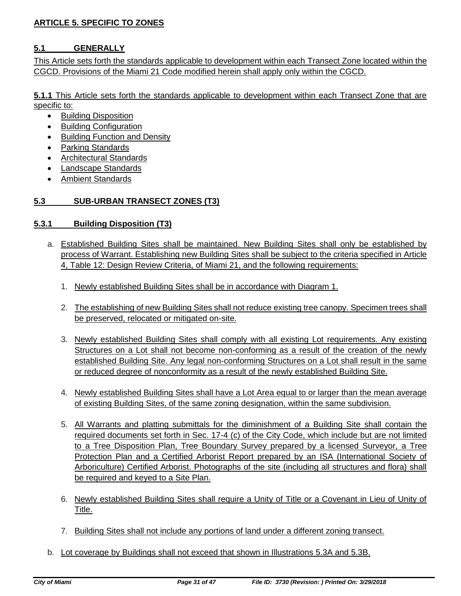## **ARTICLE 5. SPECIFIC TO ZONES**

## **5.1 GENERALLY**

This Article sets forth the standards applicable to development within each Transect Zone located within the CGCD. Provisions of the Miami 21 Code modified herein shall apply only within the CGCD.

**5.1.1** This Article sets forth the standards applicable to development within each Transect Zone that are specific to:

- **•** Building Disposition
- Building Configuration
- Building Function and Density
- Parking Standards
- Architectural Standards
- Landscape Standards
- Ambient Standards

## **5.3 SUB-URBAN TRANSECT ZONES (T3)**

### **5.3.1 Building Disposition (T3)**

- a. Established Building Sites shall be maintained. New Building Sites shall only be established by process of Warrant. Establishing new Building Sites shall be subject to the criteria specified in Article 4, Table 12: Design Review Criteria, of Miami 21, and the following requirements:
	- 1. Newly established Building Sites shall be in accordance with Diagram 1.
	- 2. The establishing of new Building Sites shall not reduce existing tree canopy. Specimen trees shall be preserved, relocated or mitigated on-site.
	- 3. Newly established Building Sites shall comply with all existing Lot requirements. Any existing Structures on a Lot shall not become non-conforming as a result of the creation of the newly established Building Site. Any legal non-conforming Structures on a Lot shall result in the same or reduced degree of nonconformity as a result of the newly established Building Site.
	- 4. Newly established Building Sites shall have a Lot Area equal to or larger than the mean average of existing Building Sites, of the same zoning designation, within the same subdivision.
	- 5. All Warrants and platting submittals for the diminishment of a Building Site shall contain the required documents set forth in Sec. 17-4 (c) of the City Code, which include but are not limited to a Tree Disposition Plan, Tree Boundary Survey prepared by a licensed Surveyor, a Tree Protection Plan and a Certified Arborist Report prepared by an ISA (International Society of Arboriculture) Certified Arborist. Photographs of the site (including all structures and flora) shall be required and keyed to a Site Plan.
	- 6. Newly established Building Sites shall require a Unity of Title or a Covenant in Lieu of Unity of Title.
	- 7. Building Sites shall not include any portions of land under a different zoning transect.
- b. Lot coverage by Buildings shall not exceed that shown in Illustrations 5.3A and 5.3B.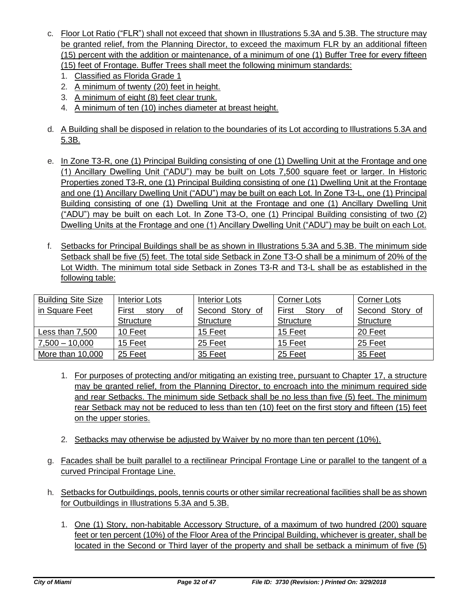- c. Floor Lot Ratio ("FLR") shall not exceed that shown in Illustrations 5.3A and 5.3B. The structure may be granted relief, from the Planning Director, to exceed the maximum FLR by an additional fifteen (15) percent with the addition or maintenance, of a minimum of one (1) Buffer Tree for every fifteen (15) feet of Frontage. Buffer Trees shall meet the following minimum standards:
	- 1. Classified as Florida Grade 1
	- 2. A minimum of twenty (20) feet in height.
	- 3. A minimum of eight (8) feet clear trunk.
	- 4. A minimum of ten (10) inches diameter at breast height.
- d. A Building shall be disposed in relation to the boundaries of its Lot according to Illustrations 5.3A and 5.3B.
- e. In Zone T3-R, one (1) Principal Building consisting of one (1) Dwelling Unit at the Frontage and one (1) Ancillary Dwelling Unit ("ADU") may be built on Lots 7,500 square feet or larger. In Historic Properties zoned T3-R, one (1) Principal Building consisting of one (1) Dwelling Unit at the Frontage and one (1) Ancillary Dwelling Unit ("ADU") may be built on each Lot. In Zone T3-L, one (1) Principal Building consisting of one (1) Dwelling Unit at the Frontage and one (1) Ancillary Dwelling Unit ("ADU") may be built on each Lot. In Zone T3-O, one (1) Principal Building consisting of two (2) Dwelling Units at the Frontage and one (1) Ancillary Dwelling Unit ("ADU") may be built on each Lot.
- f. Setbacks for Principal Buildings shall be as shown in Illustrations 5.3A and 5.3B. The minimum side Setback shall be five (5) feet. The total side Setback in Zone T3-O shall be a minimum of 20% of the Lot Width. The minimum total side Setback in Zones T3-R and T3-L shall be as established in the following table:

| <b>Building Site Size</b> | Interior Lots        | Interior Lots    | Corner Lots          | Corner Lots      |  |  |
|---------------------------|----------------------|------------------|----------------------|------------------|--|--|
| in Square Feet            | First<br>story<br>οt | Second Story of  | First<br>Story<br>0f | Second Story of  |  |  |
|                           | <b>Structure</b>     | <b>Structure</b> | <b>Structure</b>     | <b>Structure</b> |  |  |
| Less than 7,500           | 10 Feet              | 15 Feet          | 15 Feet              | 20 Feet          |  |  |
| $7,500 - 10,000$          | 15 Feet              | 25 Feet          | 15 Feet              | 25 Feet          |  |  |
| More than 10,000          | 25 Feet              | 35 Feet          | 25 Feet              | 35 Feet          |  |  |

- 1. For purposes of protecting and/or mitigating an existing tree, pursuant to Chapter 17, a structure may be granted relief, from the Planning Director, to encroach into the minimum required side and rear Setbacks. The minimum side Setback shall be no less than five (5) feet. The minimum rear Setback may not be reduced to less than ten (10) feet on the first story and fifteen (15) feet on the upper stories.
- 2. Setbacks may otherwise be adjusted by Waiver by no more than ten percent (10%).
- g. Facades shall be built parallel to a rectilinear Principal Frontage Line or parallel to the tangent of a curved Principal Frontage Line.
- h. Setbacks for Outbuildings, pools, tennis courts or other similar recreational facilities shall be as shown for Outbuildings in Illustrations 5.3A and 5.3B.
	- 1. One (1) Story, non-habitable Accessory Structure, of a maximum of two hundred (200) square feet or ten percent (10%) of the Floor Area of the Principal Building, whichever is greater, shall be located in the Second or Third layer of the property and shall be setback a minimum of five (5)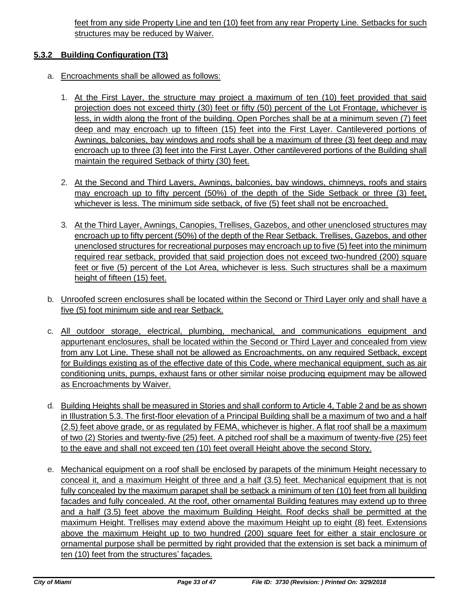feet from any side Property Line and ten (10) feet from any rear Property Line. Setbacks for such structures may be reduced by Waiver.

### **5.3.2 Building Configuration (T3)**

- a. Encroachments shall be allowed as follows:
	- 1. At the First Layer, the structure may project a maximum of ten (10) feet provided that said projection does not exceed thirty (30) feet or fifty (50) percent of the Lot Frontage, whichever is less, in width along the front of the building. Open Porches shall be at a minimum seven (7) feet deep and may encroach up to fifteen (15) feet into the First Layer. Cantilevered portions of Awnings, balconies, bay windows and roofs shall be a maximum of three (3) feet deep and may encroach up to three (3) feet into the First Layer. Other cantilevered portions of the Building shall maintain the required Setback of thirty (30) feet.
	- 2. At the Second and Third Layers, Awnings, balconies, bay windows, chimneys, roofs and stairs may encroach up to fifty percent (50%) of the depth of the Side Setback or three (3) feet, whichever is less. The minimum side setback, of five (5) feet shall not be encroached.
	- 3. At the Third Layer, Awnings, Canopies, Trellises, Gazebos, and other unenclosed structures may encroach up to fifty percent (50%) of the depth of the Rear Setback. Trellises, Gazebos, and other unenclosed structures for recreational purposes may encroach up to five (5) feet into the minimum required rear setback, provided that said projection does not exceed two-hundred (200) square feet or five (5) percent of the Lot Area, whichever is less. Such structures shall be a maximum height of fifteen (15) feet.
- b. Unroofed screen enclosures shall be located within the Second or Third Layer only and shall have a five (5) foot minimum side and rear Setback.
- c. All outdoor storage, electrical, plumbing, mechanical, and communications equipment and appurtenant enclosures, shall be located within the Second or Third Layer and concealed from view from any Lot Line. These shall not be allowed as Encroachments, on any required Setback, except for Buildings existing as of the effective date of this Code, where mechanical equipment, such as air conditioning units, pumps, exhaust fans or other similar noise producing equipment may be allowed as Encroachments by Waiver.
- d. Building Heights shall be measured in Stories and shall conform to Article 4, Table 2 and be as shown in Illustration 5.3. The first-floor elevation of a Principal Building shall be a maximum of two and a half (2.5) feet above grade, or as regulated by FEMA, whichever is higher. A flat roof shall be a maximum of two (2) Stories and twenty-five (25) feet. A pitched roof shall be a maximum of twenty-five (25) feet to the eave and shall not exceed ten (10) feet overall Height above the second Story.
- e. Mechanical equipment on a roof shall be enclosed by parapets of the minimum Height necessary to conceal it, and a maximum Height of three and a half (3.5) feet. Mechanical equipment that is not fully concealed by the maximum parapet shall be setback a minimum of ten (10) feet from all building facades and fully concealed. At the roof, other ornamental Building features may extend up to three and a half (3.5) feet above the maximum Building Height. Roof decks shall be permitted at the maximum Height. Trellises may extend above the maximum Height up to eight (8) feet. Extensions above the maximum Height up to two hundred (200) square feet for either a stair enclosure or ornamental purpose shall be permitted by right provided that the extension is set back a minimum of ten (10) feet from the structures' façades.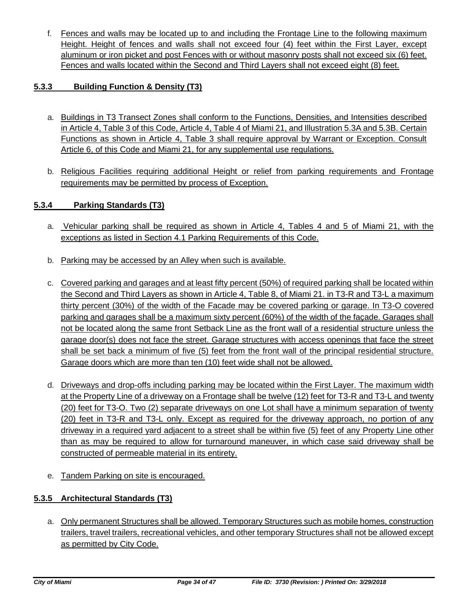f. Fences and walls may be located up to and including the Frontage Line to the following maximum Height. Height of fences and walls shall not exceed four (4) feet within the First Layer, except aluminum or iron picket and post Fences with or without masonry posts shall not exceed six (6) feet. Fences and walls located within the Second and Third Layers shall not exceed eight (8) feet.

## **5.3.3 Building Function & Density (T3)**

- a. Buildings in T3 Transect Zones shall conform to the Functions, Densities, and Intensities described in Article 4, Table 3 of this Code, Article 4, Table 4 of Miami 21, and Illustration 5.3A and 5.3B. Certain Functions as shown in Article 4, Table 3 shall require approval by Warrant or Exception. Consult Article 6, of this Code and Miami 21, for any supplemental use regulations.
- b. Religious Facilities requiring additional Height or relief from parking requirements and Frontage requirements may be permitted by process of Exception.

### **5.3.4 Parking Standards (T3)**

- a. Vehicular parking shall be required as shown in Article 4, Tables 4 and 5 of Miami 21, with the exceptions as listed in Section 4.1 Parking Requirements of this Code.
- b. Parking may be accessed by an Alley when such is available.
- c. Covered parking and garages and at least fifty percent (50%) of required parking shall be located within the Second and Third Layers as shown in Article 4, Table 8, of Miami 21. in T3-R and T3-L a maximum thirty percent (30%) of the width of the Facade may be covered parking or garage. In T3-O covered parking and garages shall be a maximum sixty percent (60%) of the width of the façade. Garages shall not be located along the same front Setback Line as the front wall of a residential structure unless the garage door(s) does not face the street. Garage structures with access openings that face the street shall be set back a minimum of five (5) feet from the front wall of the principal residential structure. Garage doors which are more than ten (10) feet wide shall not be allowed.
- d. Driveways and drop-offs including parking may be located within the First Layer. The maximum width at the Property Line of a driveway on a Frontage shall be twelve (12) feet for T3-R and T3-L and twenty (20) feet for T3-O. Two (2) separate driveways on one Lot shall have a minimum separation of twenty (20) feet in T3-R and T3-L only. Except as required for the driveway approach, no portion of any driveway in a required yard adjacent to a street shall be within five (5) feet of any Property Line other than as may be required to allow for turnaround maneuver, in which case said driveway shall be constructed of permeable material in its entirety.
- e. Tandem Parking on site is encouraged.

### **5.3.5 Architectural Standards (T3)**

a. Only permanent Structures shall be allowed. Temporary Structures such as mobile homes, construction trailers, travel trailers, recreational vehicles, and other temporary Structures shall not be allowed except as permitted by City Code.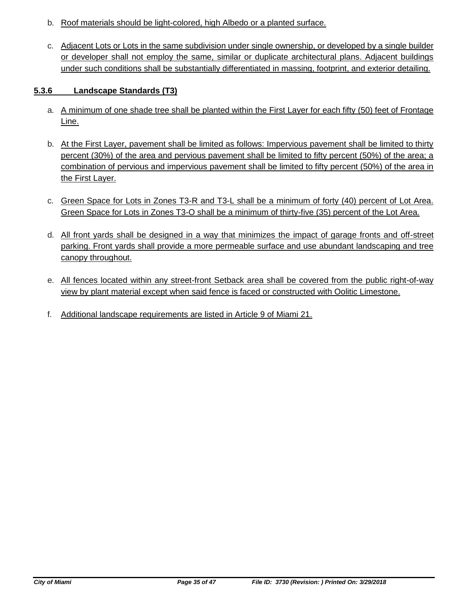- b. Roof materials should be light-colored, high Albedo or a planted surface.
- c. Adjacent Lots or Lots in the same subdivision under single ownership, or developed by a single builder or developer shall not employ the same, similar or duplicate architectural plans. Adjacent buildings under such conditions shall be substantially differentiated in massing, footprint, and exterior detailing.

### **5.3.6 Landscape Standards (T3)**

- a. A minimum of one shade tree shall be planted within the First Layer for each fifty (50) feet of Frontage Line.
- b. At the First Layer, pavement shall be limited as follows: Impervious pavement shall be limited to thirty percent (30%) of the area and pervious pavement shall be limited to fifty percent (50%) of the area; a combination of pervious and impervious pavement shall be limited to fifty percent (50%) of the area in the First Layer.
- c. Green Space for Lots in Zones T3-R and T3-L shall be a minimum of forty (40) percent of Lot Area. Green Space for Lots in Zones T3-O shall be a minimum of thirty-five (35) percent of the Lot Area.
- d. All front yards shall be designed in a way that minimizes the impact of garage fronts and off-street parking. Front yards shall provide a more permeable surface and use abundant landscaping and tree canopy throughout.
- e. All fences located within any street-front Setback area shall be covered from the public right-of-way view by plant material except when said fence is faced or constructed with Oolitic Limestone.
- f. Additional landscape requirements are listed in Article 9 of Miami 21.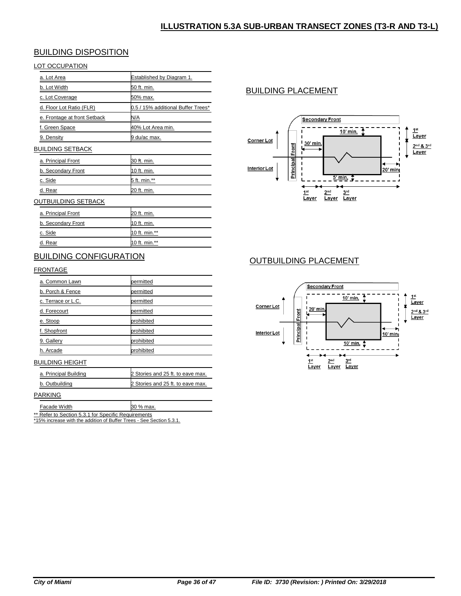### BUILDING DISPOSITION

#### LOT OCCUPATION

| a. Lot Area                  | Established by Diagram 1.          |
|------------------------------|------------------------------------|
| b. Lot Width                 | 50 ft. min.                        |
| c. Lot Coverage              | 50% max.                           |
| d. Floor Lot Ratio (FLR)     | 0.5 / 15% additional Buffer Trees* |
| e. Frontage at front Setback | N/A                                |
| f. Green Space               | 40% Lot Area min.                  |
| 9. Density                   | <u>9 du/ac max.</u>                |
| BUILDING SETBACK             |                                    |
| <u>a. Principal Front</u>    | 30 ft. min.                        |
| b. Secondary Front           | 10 ft. min.                        |
| c. Side                      | 5 ft. min.**                       |
| d. Rear                      | 20 ft. min.                        |
| OUTBUILDING SETBACK          |                                    |
|                              |                                    |

| a. Principal Front | 20 ft. min.   |
|--------------------|---------------|
| b. Secondary Front | 10 ft. min.   |
| c. Side            | 10 ft. min.** |
| d. Rear            | 10 ft. min.** |

### BUILDING CONFIGURATION

#### **FRONTAGE**

| a. Common Lawn     | permitted  |
|--------------------|------------|
| b. Porch & Fence   | permitted  |
| c. Terrace or L.C. | permitted  |
| d. Forecourt       | permitted  |
| e. Stoop           | prohibited |
| f. Shopfront       | prohibited |
| 9. Gallery         | prohibited |
| h. Arcade          | prohibited |

#### BUILDING HEIGHT

| a. Principal Building | 2 Stories and 25 ft. to eave max. |
|-----------------------|-----------------------------------|
| b. Outbuilding        | 2 Stories and 25 ft. to eave max. |

#### PARKING

Facade Width 30 % max.

\*\* Refer to Section 5.3.1 for Specific Requirements

\*15% increase with the addition of Buffer Trees - See Section 5.3.1.

# BUILDING PLACEMENT



### OUTBUILDING PLACEMENT

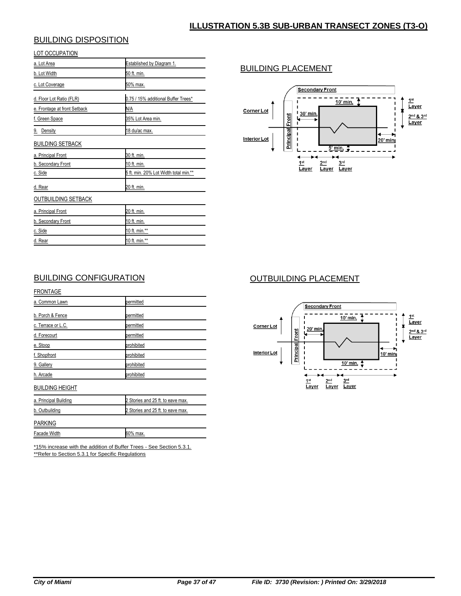## BUILDING DISPOSITION

|--|

| a. Lot Area                  | Established by Diagram 1.             |
|------------------------------|---------------------------------------|
| b. Lot Width                 | 50 ft. min.                           |
| c. Lot Coverage              | <u>50% max.</u>                       |
| d. Floor Lot Ratio (FLR)     | 0.75 / 15% additional Buffer Trees*   |
| e. Frontage at front Setback | N/A                                   |
| f. Green Space               | 35% Lot Area min.                     |
| 9. Density                   | 18 du/ac max.                         |
| <b>BUILDING SETBACK</b>      |                                       |
| a. Principal Front           | 30 ft. min.                           |
| b. Secondary Front           | 10 ft. min.                           |
| c. Side                      | 5 ft. min. 20% Lot Width total min.** |
| d. Rear                      | 20 ft. min.                           |
| OUTBUILDING SETBACK          |                                       |
| a. Principal Front           | 20 ft. min.                           |
| b. Secondary Front           | 10 ft. min.                           |
| c. Side                      | 10 ft. min.**                         |
| d. Rear                      | 10 ft. min.**                         |

## BUILDING PLACEMENT



### BUILDING CONFIGURATION

| <b>FRONTAGE</b>        |                                    |
|------------------------|------------------------------------|
| a. Common Lawn         | permitted                          |
| b. Porch & Fence       | permitted                          |
| c. Terrace or L.C.     | permitted                          |
| d. Forecourt           | permitted                          |
| e. Stoop               | prohibited                         |
| f. Shopfront           | prohibited                         |
| 9. Gallery             | prohibited                         |
| h. Arcade              | prohibited                         |
| <b>BUILDING HEIGHT</b> |                                    |
| a. Principal Building  | 2 Stories and 25 ft. to eave max.  |
| b. Outbuilding         | 2 Stories and 25 ft. to eave max.  |
| PARKING                |                                    |
| Facade Width           | 60% max.                           |
| $1.1 - 0.1$            | $\sim$ $\sim$ $\sim$ $\sim$ $\sim$ |

\*15% increase with the addition of Buffer Trees - See Section 5.3.1. \*\*Refer to Section 5.3.1 for Specific Regulations

# OUTBUILDING PLACEMENT

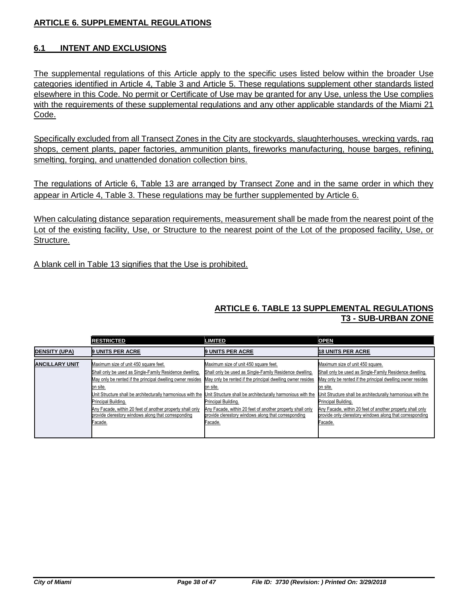### **ARTICLE 6. SUPPLEMENTAL REGULATIONS**

### **6.1 INTENT AND EXCLUSIONS**

The supplemental regulations of this Article apply to the specific uses listed below within the broader Use categories identified in Article 4, Table 3 and Article 5. These regulations supplement other standards listed elsewhere in this Code. No permit or Certificate of Use may be granted for any Use, unless the Use complies with the requirements of these supplemental regulations and any other applicable standards of the Miami 21 Code.

Specifically excluded from all Transect Zones in the City are stockyards, slaughterhouses, wrecking yards, rag shops, cement plants, paper factories, ammunition plants, fireworks manufacturing, house barges, refining, smelting, forging, and unattended donation collection bins.

The regulations of Article 6, Table 13 are arranged by Transect Zone and in the same order in which they appear in Article 4, Table 3. These regulations may be further supplemented by Article 6.

When calculating distance separation requirements, measurement shall be made from the nearest point of the Lot of the existing facility, Use, or Structure to the nearest point of the Lot of the proposed facility, Use, or Structure.

A blank cell in Table 13 signifies that the Use is prohibited.

### **ARTICLE 6. TABLE 13 SUPPLEMENTAL REGULATIONS T3 - SUB-URBAN ZONE**

|                       | <b>RESTRICTED</b>                                                                                                                                                                                                                                                                                                                                                                               | <b>LIMITED</b>                                                                                                                                                                                                                                                                                                                                                                                  | <b>OPEN</b>                                                                                                                                                                                                                                                                                                                                                                                     |
|-----------------------|-------------------------------------------------------------------------------------------------------------------------------------------------------------------------------------------------------------------------------------------------------------------------------------------------------------------------------------------------------------------------------------------------|-------------------------------------------------------------------------------------------------------------------------------------------------------------------------------------------------------------------------------------------------------------------------------------------------------------------------------------------------------------------------------------------------|-------------------------------------------------------------------------------------------------------------------------------------------------------------------------------------------------------------------------------------------------------------------------------------------------------------------------------------------------------------------------------------------------|
| <b>DENSITY (UPA)</b>  | <b>9 UNITS PER ACRE</b>                                                                                                                                                                                                                                                                                                                                                                         | <b>9 UNITS PER ACRE</b>                                                                                                                                                                                                                                                                                                                                                                         | <b>18 UNITS PER ACRE</b>                                                                                                                                                                                                                                                                                                                                                                        |
| <b>ANCILLARY UNIT</b> | Maximum size of unit 450 square feet.<br>Shall only be used as Single-Family Residence dwelling.<br>May only be rented if the principal dwelling owner resides<br>on site.<br>Unit Structure shall be architecturally harmonious with the<br>Principal Building.<br>Any Facade, within 20 feet of another property shall only<br>provide clerestory windows along that corresponding<br>Facade. | Maximum size of unit 450 square feet.<br>Shall only be used as Single-Family Residence dwelling.<br>May only be rented if the principal dwelling owner resides<br>on site.<br>Unit Structure shall be architecturally harmonious with the<br>Principal Building.<br>Any Facade, within 20 feet of another property shall only<br>provide clerestory windows along that corresponding<br>Facade. | Maximum size of unit 450 square.<br>Shall only be used as Single-Family Residence dwelling.<br>May only be rented if the principal dwelling owner resides<br>on site.<br>Unit Structure shall be architecturally harmonious with the<br>Principal Building.<br>Any Facade, within 20 feet of another property shall only<br>provide only clerestory windows along that corresponding<br>Facade. |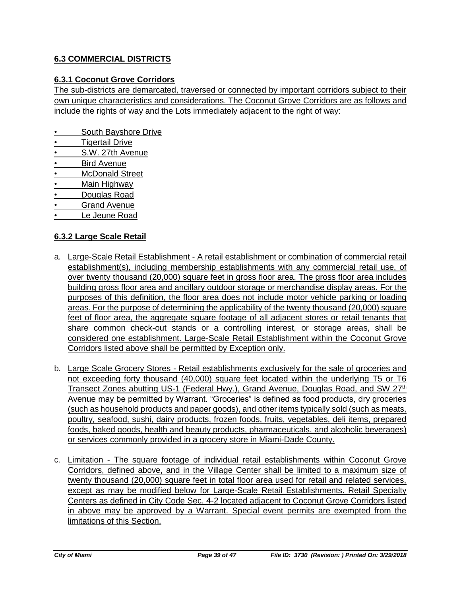## **6.3 COMMERCIAL DISTRICTS**

### **6.3.1 Coconut Grove Corridors**

The sub-districts are demarcated, traversed or connected by important corridors subject to their own unique characteristics and considerations. The Coconut Grove Corridors are as follows and include the rights of way and the Lots immediately adjacent to the right of way:

- South Bayshore Drive
- **Tigertail Drive**
- S.W. 27th Avenue
- **Bird Avenue**
- McDonald Street
- Main Highway
- Douglas Road
- Grand Avenue
- Le Jeune Road

### **6.3.2 Large Scale Retail**

- a. Large-Scale Retail Establishment A retail establishment or combination of commercial retail establishment(s), including membership establishments with any commercial retail use, of over twenty thousand (20,000) square feet in gross floor area. The gross floor area includes building gross floor area and ancillary outdoor storage or merchandise display areas. For the purposes of this definition, the floor area does not include motor vehicle parking or loading areas. For the purpose of determining the applicability of the twenty thousand (20,000) square feet of floor area, the aggregate square footage of all adjacent stores or retail tenants that share common check-out stands or a controlling interest, or storage areas, shall be considered one establishment. Large-Scale Retail Establishment within the Coconut Grove Corridors listed above shall be permitted by Exception only.
- b. Large Scale Grocery Stores Retail establishments exclusively for the sale of groceries and not exceeding forty thousand (40,000) square feet located within the underlying T5 or T6 Transect Zones abutting US-1 (Federal Hwy.), Grand Avenue, Douglas Road, and SW 27<sup>th</sup> Avenue may be permitted by Warrant. "Groceries" is defined as food products, dry groceries (such as household products and paper goods), and other items typically sold (such as meats, poultry, seafood, sushi, dairy products, frozen foods, fruits, vegetables, deli items, prepared foods, baked goods, health and beauty products, pharmaceuticals, and alcoholic beverages) or services commonly provided in a grocery store in Miami-Dade County.
- c. Limitation The square footage of individual retail establishments within Coconut Grove Corridors, defined above, and in the Village Center shall be limited to a maximum size of twenty thousand (20,000) square feet in total floor area used for retail and related services, except as may be modified below for Large-Scale Retail Establishments. Retail Specialty Centers as defined in City Code Sec. 4-2 located adjacent to Coconut Grove Corridors listed in above may be approved by a Warrant. Special event permits are exempted from the limitations of this Section.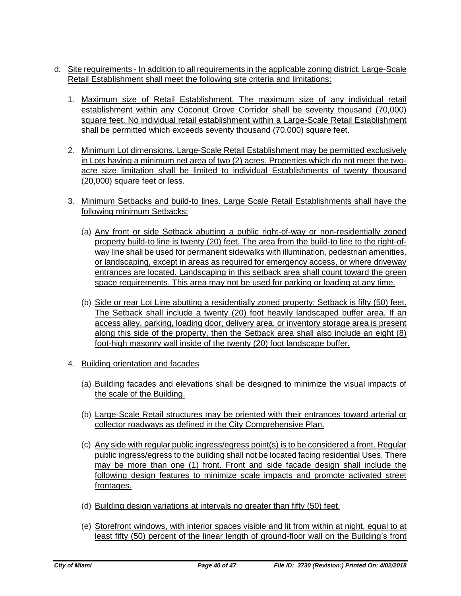- d. Site requirements In addition to all requirements in the applicable zoning district, Large-Scale Retail Establishment shall meet the following site criteria and limitations:
	- 1. Maximum size of Retail Establishment. The maximum size of any individual retail establishment within any Coconut Grove Corridor shall be seventy thousand (70,000) square feet. No individual retail establishment within a Large-Scale Retail Establishment shall be permitted which exceeds seventy thousand (70,000) square feet.
	- 2. Minimum Lot dimensions. Large-Scale Retail Establishment may be permitted exclusively in Lots having a minimum net area of two (2) acres. Properties which do not meet the twoacre size limitation shall be limited to individual Establishments of twenty thousand (20,000) square feet or less.
	- 3. Minimum Setbacks and build-to lines. Large Scale Retail Establishments shall have the following minimum Setbacks:
		- (a) Any front or side Setback abutting a public right-of-way or non-residentially zoned property build-to line is twenty (20) feet. The area from the build-to line to the right-ofway line shall be used for permanent sidewalks with illumination, pedestrian amenities, or landscaping, except in areas as required for emergency access, or where driveway entrances are located. Landscaping in this setback area shall count toward the green space requirements. This area may not be used for parking or loading at any time.
		- (b) Side or rear Lot Line abutting a residentially zoned property: Setback is fifty (50) feet. The Setback shall include a twenty (20) foot heavily landscaped buffer area. If an access alley, parking, loading door, delivery area, or inventory storage area is present along this side of the property, then the Setback area shall also include an eight (8) foot-high masonry wall inside of the twenty (20) foot landscape buffer.
	- 4. Building orientation and facades
		- (a) Building facades and elevations shall be designed to minimize the visual impacts of the scale of the Building.
		- (b) Large-Scale Retail structures may be oriented with their entrances toward arterial or collector roadways as defined in the City Comprehensive Plan.
		- (c) Any side with regular public ingress/egress point(s) is to be considered a front. Regular public ingress/egress to the building shall not be located facing residential Uses. There may be more than one (1) front. Front and side facade design shall include the following design features to minimize scale impacts and promote activated street frontages.
		- (d) Building design variations at intervals no greater than fifty (50) feet.
		- (e) Storefront windows, with interior spaces visible and lit from within at night, equal to at least fifty (50) percent of the linear length of ground-floor wall on the Building's front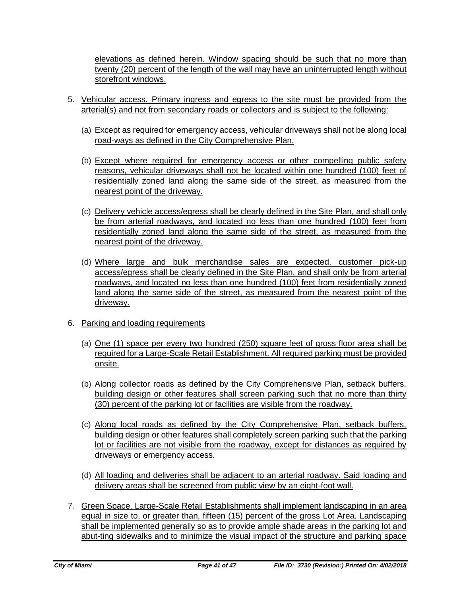elevations as defined herein. Window spacing should be such that no more than twenty (20) percent of the length of the wall may have an uninterrupted length without storefront windows.

- 5. Vehicular access. Primary ingress and egress to the site must be provided from the arterial(s) and not from secondary roads or collectors and is subject to the following:
	- (a) Except as required for emergency access, vehicular driveways shall not be along local road-ways as defined in the City Comprehensive Plan.
	- (b) Except where required for emergency access or other compelling public safety reasons, vehicular driveways shall not be located within one hundred (100) feet of residentially zoned land along the same side of the street, as measured from the nearest point of the driveway.
	- (c) Delivery vehicle access/egress shall be clearly defined in the Site Plan, and shall only be from arterial roadways, and located no less than one hundred (100) feet from residentially zoned land along the same side of the street, as measured from the nearest point of the driveway.
	- (d) Where large and bulk merchandise sales are expected, customer pick-up access/egress shall be clearly defined in the Site Plan, and shall only be from arterial roadways, and located no less than one hundred (100) feet from residentially zoned land along the same side of the street, as measured from the nearest point of the driveway.
- 6. Parking and loading requirements
	- (a) One (1) space per every two hundred (250) square feet of gross floor area shall be required for a Large-Scale Retail Establishment. All required parking must be provided onsite.
	- (b) Along collector roads as defined by the City Comprehensive Plan, setback buffers, building design or other features shall screen parking such that no more than thirty (30) percent of the parking lot or facilities are visible from the roadway.
	- (c) Along local roads as defined by the City Comprehensive Plan, setback buffers, building design or other features shall completely screen parking such that the parking lot or facilities are not visible from the roadway, except for distances as required by driveways or emergency access.
	- (d) All loading and deliveries shall be adjacent to an arterial roadway. Said loading and delivery areas shall be screened from public view by an eight-foot wall.
- 7. Green Space. Large-Scale Retail Establishments shall implement landscaping in an area equal in size to, or greater than, fifteen (15) percent of the gross Lot Area. Landscaping shall be implemented generally so as to provide ample shade areas in the parking lot and abut-ting sidewalks and to minimize the visual impact of the structure and parking space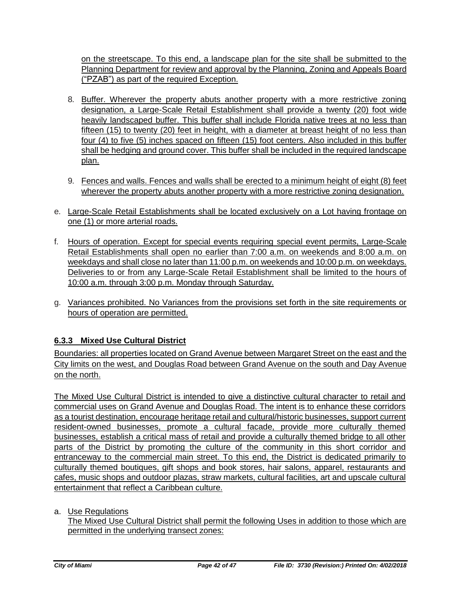on the streetscape. To this end, a landscape plan for the site shall be submitted to the Planning Department for review and approval by the Planning, Zoning and Appeals Board ("PZAB") as part of the required Exception.

- 8. Buffer. Wherever the property abuts another property with a more restrictive zoning designation, a Large-Scale Retail Establishment shall provide a twenty (20) foot wide heavily landscaped buffer. This buffer shall include Florida native trees at no less than fifteen (15) to twenty (20) feet in height, with a diameter at breast height of no less than four (4) to five (5) inches spaced on fifteen (15) foot centers. Also included in this buffer shall be hedging and ground cover. This buffer shall be included in the required landscape plan.
- 9. Fences and walls. Fences and walls shall be erected to a minimum height of eight (8) feet wherever the property abuts another property with a more restrictive zoning designation.
- e. Large-Scale Retail Establishments shall be located exclusively on a Lot having frontage on one (1) or more arterial roads.
- f. Hours of operation. Except for special events requiring special event permits, Large-Scale Retail Establishments shall open no earlier than 7:00 a.m. on weekends and 8:00 a.m. on weekdays and shall close no later than 11:00 p.m. on weekends and 10:00 p.m. on weekdays. Deliveries to or from any Large-Scale Retail Establishment shall be limited to the hours of 10:00 a.m. through 3:00 p.m. Monday through Saturday.
- g. Variances prohibited. No Variances from the provisions set forth in the site requirements or hours of operation are permitted.

## **6.3.3 Mixed Use Cultural District**

Boundaries: all properties located on Grand Avenue between Margaret Street on the east and the City limits on the west, and Douglas Road between Grand Avenue on the south and Day Avenue on the north.

The Mixed Use Cultural District is intended to give a distinctive cultural character to retail and commercial uses on Grand Avenue and Douglas Road. The intent is to enhance these corridors as a tourist destination, encourage heritage retail and cultural/historic businesses, support current resident-owned businesses, promote a cultural facade, provide more culturally themed businesses, establish a critical mass of retail and provide a culturally themed bridge to all other parts of the District by promoting the culture of the community in this short corridor and entranceway to the commercial main street. To this end, the District is dedicated primarily to culturally themed boutiques, gift shops and book stores, hair salons, apparel, restaurants and cafes, music shops and outdoor plazas, straw markets, cultural facilities, art and upscale cultural entertainment that reflect a Caribbean culture.

### a. Use Regulations

The Mixed Use Cultural District shall permit the following Uses in addition to those which are permitted in the underlying transect zones: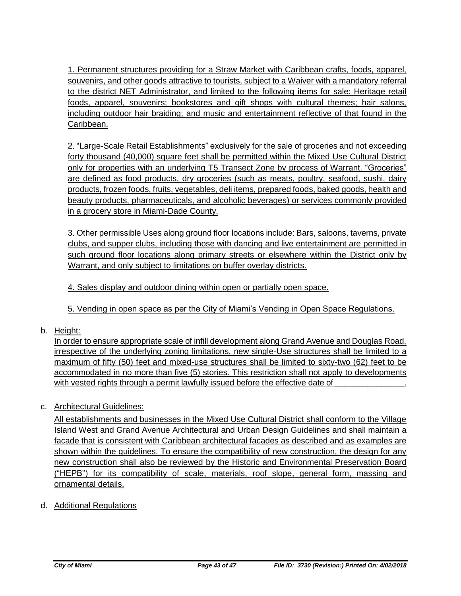1. Permanent structures providing for a Straw Market with Caribbean crafts, foods, apparel, souvenirs, and other goods attractive to tourists, subject to a Waiver with a mandatory referral to the district NET Administrator, and limited to the following items for sale: Heritage retail foods, apparel, souvenirs; bookstores and gift shops with cultural themes; hair salons, including outdoor hair braiding; and music and entertainment reflective of that found in the Caribbean.

2. "Large-Scale Retail Establishments" exclusively for the sale of groceries and not exceeding forty thousand (40,000) square feet shall be permitted within the Mixed Use Cultural District only for properties with an underlying T5 Transect Zone by process of Warrant. "Groceries" are defined as food products, dry groceries (such as meats, poultry, seafood, sushi, dairy products, frozen foods, fruits, vegetables, deli items, prepared foods, baked goods, health and beauty products, pharmaceuticals, and alcoholic beverages) or services commonly provided in a grocery store in Miami-Dade County.

3. Other permissible Uses along ground floor locations include: Bars, saloons, taverns, private clubs, and supper clubs, including those with dancing and live entertainment are permitted in such ground floor locations along primary streets or elsewhere within the District only by Warrant, and only subject to limitations on buffer overlay districts.

4. Sales display and outdoor dining within open or partially open space.

5. Vending in open space as per the City of Miami's Vending in Open Space Regulations.

b. Height:

In order to ensure appropriate scale of infill development along Grand Avenue and Douglas Road, irrespective of the underlying zoning limitations, new single-Use structures shall be limited to a maximum of fifty (50) feet and mixed-use structures shall be limited to sixty-two (62) feet to be accommodated in no more than five (5) stories. This restriction shall not apply to developments with vested rights through a permit lawfully issued before the effective date of

## c. Architectural Guidelines:

All establishments and businesses in the Mixed Use Cultural District shall conform to the Village Island West and Grand Avenue Architectural and Urban Design Guidelines and shall maintain a facade that is consistent with Caribbean architectural facades as described and as examples are shown within the guidelines. To ensure the compatibility of new construction, the design for any new construction shall also be reviewed by the Historic and Environmental Preservation Board ("HEPB") for its compatibility of scale, materials, roof slope, general form, massing and ornamental details.

d. Additional Regulations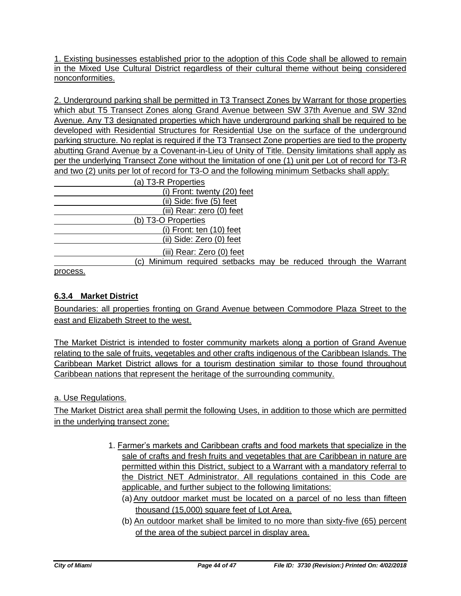1. Existing businesses established prior to the adoption of this Code shall be allowed to remain in the Mixed Use Cultural District regardless of their cultural theme without being considered nonconformities.

2. Underground parking shall be permitted in T3 Transect Zones by Warrant for those properties which abut T5 Transect Zones along Grand Avenue between SW 37th Avenue and SW 32nd Avenue. Any T3 designated properties which have underground parking shall be required to be developed with Residential Structures for Residential Use on the surface of the underground parking structure. No replat is required if the T3 Transect Zone properties are tied to the property abutting Grand Avenue by a Covenant-in-Lieu of Unity of Title. Density limitations shall apply as per the underlying Transect Zone without the limitation of one (1) unit per Lot of record for T3-R and two (2) units per lot of record for T3-O and the following minimum Setbacks shall apply:

| (a) T3-R Properties                                              |  |  |  |
|------------------------------------------------------------------|--|--|--|
| (i) Front: twenty (20) feet                                      |  |  |  |
| $(ii)$ Side: five $(5)$ feet                                     |  |  |  |
| (iii) Rear: zero (0) feet                                        |  |  |  |
| (b) T3-O Properties                                              |  |  |  |
| $(i)$ Front: ten $(10)$ feet                                     |  |  |  |
| (ii) Side: Zero (0) feet                                         |  |  |  |
| (iii) Rear: Zero (0) feet                                        |  |  |  |
| (c) Minimum required setbacks may be reduced through the Warrant |  |  |  |

process.

## **6.3.4 Market District**

Boundaries: all properties fronting on Grand Avenue between Commodore Plaza Street to the east and Elizabeth Street to the west.

The Market District is intended to foster community markets along a portion of Grand Avenue relating to the sale of fruits, vegetables and other crafts indigenous of the Caribbean Islands. The Caribbean Market District allows for a tourism destination similar to those found throughout Caribbean nations that represent the heritage of the surrounding community.

a. Use Regulations.

The Market District area shall permit the following Uses, in addition to those which are permitted in the underlying transect zone:

- 1. Farmer's markets and Caribbean crafts and food markets that specialize in the sale of crafts and fresh fruits and vegetables that are Caribbean in nature are permitted within this District, subject to a Warrant with a mandatory referral to the District NET Administrator. All regulations contained in this Code are applicable, and further subject to the following limitations:
	- (a)Any outdoor market must be located on a parcel of no less than fifteen thousand (15,000) square feet of Lot Area.
	- (b) An outdoor market shall be limited to no more than sixty-five (65) percent of the area of the subject parcel in display area.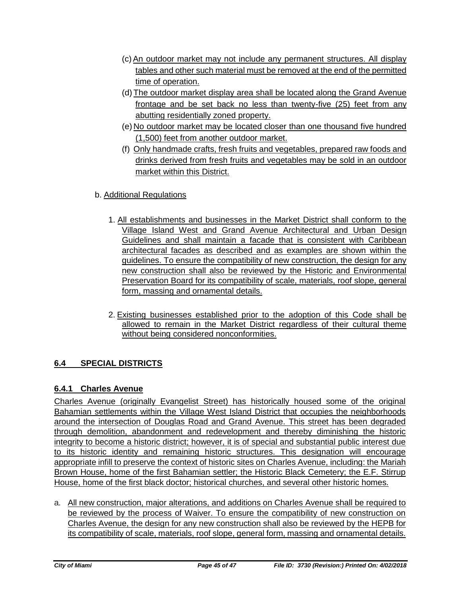- (c)An outdoor market may not include any permanent structures. All display tables and other such material must be removed at the end of the permitted time of operation.
- (d) The outdoor market display area shall be located along the Grand Avenue frontage and be set back no less than twenty-five (25) feet from any abutting residentially zoned property.
- (e) No outdoor market may be located closer than one thousand five hundred (1,500) feet from another outdoor market.
- (f) Only handmade crafts, fresh fruits and vegetables, prepared raw foods and drinks derived from fresh fruits and vegetables may be sold in an outdoor market within this District.

## b. Additional Regulations

- 1. All establishments and businesses in the Market District shall conform to the Village Island West and Grand Avenue Architectural and Urban Design Guidelines and shall maintain a facade that is consistent with Caribbean architectural facades as described and as examples are shown within the guidelines. To ensure the compatibility of new construction, the design for any new construction shall also be reviewed by the Historic and Environmental Preservation Board for its compatibility of scale, materials, roof slope, general form, massing and ornamental details.
- 2. Existing businesses established prior to the adoption of this Code shall be allowed to remain in the Market District regardless of their cultural theme without being considered nonconformities.

# **6.4 SPECIAL DISTRICTS**

## **6.4.1 Charles Avenue**

Charles Avenue (originally Evangelist Street) has historically housed some of the original Bahamian settlements within the Village West Island District that occupies the neighborhoods around the intersection of Douglas Road and Grand Avenue. This street has been degraded through demolition, abandonment and redevelopment and thereby diminishing the historic integrity to become a historic district; however, it is of special and substantial public interest due to its historic identity and remaining historic structures. This designation will encourage appropriate infill to preserve the context of historic sites on Charles Avenue, including: the Mariah Brown House, home of the first Bahamian settler; the Historic Black Cemetery; the E.F. Stirrup House, home of the first black doctor; historical churches, and several other historic homes.

a. All new construction, major alterations, and additions on Charles Avenue shall be required to be reviewed by the process of Waiver. To ensure the compatibility of new construction on Charles Avenue, the design for any new construction shall also be reviewed by the HEPB for its compatibility of scale, materials, roof slope, general form, massing and ornamental details.